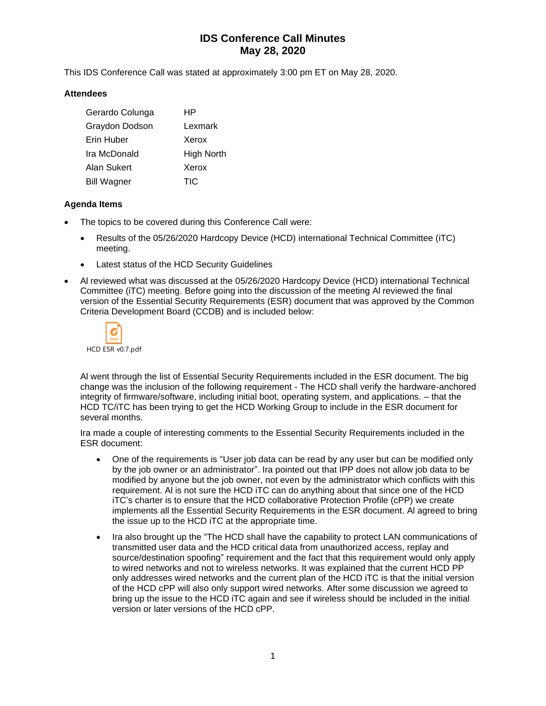# **IDS Conference Call Minutes May 28, 2020**

This IDS Conference Call was stated at approximately 3:00 pm ET on May 28, 2020.

### **Attendees**

| Gerardo Colunga    | ΗP         |
|--------------------|------------|
| Graydon Dodson     | Lexmark    |
| Erin Huber         | Xerox      |
| Ira McDonald       | High North |
| Alan Sukert        | Xerox      |
| <b>Bill Wagner</b> | TIC        |

### **Agenda Items**

- The topics to be covered during this Conference Call were:
	- Results of the 05/26/2020 Hardcopy Device (HCD) international Technical Committee (iTC) meeting.
	- Latest status of the HCD Security Guidelines
- Al reviewed what was discussed at the 05/26/2020 Hardcopy Device (HCD) international Technical Committee (iTC) meeting. Before going into the discussion of the meeting Al reviewed the final version of the Essential Security Requirements (ESR) document that was approved by the Common Criteria Development Board (CCDB) and is included below:



Al went through the list of Essential Security Requirements included in the ESR document. The big change was the inclusion of the following requirement - The HCD shall verify the hardware-anchored integrity of firmware/software, including initial boot, operating system, and applications. – that the HCD TC/iTC has been trying to get the HCD Working Group to include in the ESR document for several months.

Ira made a couple of interesting comments to the Essential Security Requirements included in the ESR document:

- One of the requirements is "User job data can be read by any user but can be modified only by the job owner or an administrator". Ira pointed out that IPP does not allow job data to be modified by anyone but the job owner, not even by the administrator which conflicts with this requirement. Al is not sure the HCD iTC can do anything about that since one of the HCD iTC's charter is to ensure that the HCD collaborative Protection Profile (cPP) we create implements all the Essential Security Requirements in the ESR document. Al agreed to bring the issue up to the HCD iTC at the appropriate time.
- Ira also brought up the "The HCD shall have the capability to protect LAN communications of transmitted user data and the HCD critical data from unauthorized access, replay and source/destination spoofing" requirement and the fact that this requirement would only apply to wired networks and not to wireless networks. It was explained that the current HCD PP only addresses wired networks and the current plan of the HCD iTC is that the initial version of the HCD cPP will also only support wired networks. After some discussion we agreed to bring up the issue to the HCD iTC again and see if wireless should be included in the initial version or later versions of the HCD cPP.